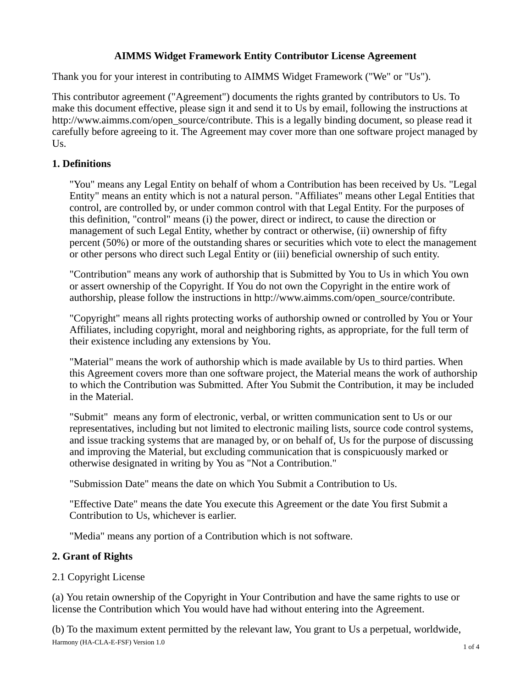# **AIMMS Widget Framework Entity Contributor License Agreement**

Thank you for your interest in contributing to AIMMS Widget Framework ("We" or "Us").

This contributor agreement ("Agreement") documents the rights granted by contributors to Us. To make this document effective, please sign it and send it to Us by email, following the instructions at http://www.aimms.com/open\_source/contribute. This is a legally binding document, so please read it carefully before agreeing to it. The Agreement may cover more than one software project managed by Us.

# **1. Definitions**

"You" means any Legal Entity on behalf of whom a Contribution has been received by Us. "Legal Entity" means an entity which is not a natural person. "Affiliates" means other Legal Entities that control, are controlled by, or under common control with that Legal Entity. For the purposes of this definition, "control" means (i) the power, direct or indirect, to cause the direction or management of such Legal Entity, whether by contract or otherwise, (ii) ownership of fifty percent (50%) or more of the outstanding shares or securities which vote to elect the management or other persons who direct such Legal Entity or (iii) beneficial ownership of such entity.

"Contribution" means any work of authorship that is Submitted by You to Us in which You own or assert ownership of the Copyright. If You do not own the Copyright in the entire work of authorship, please follow the instructions in http://www.aimms.com/open\_source/contribute.

"Copyright" means all rights protecting works of authorship owned or controlled by You or Your Affiliates, including copyright, moral and neighboring rights, as appropriate, for the full term of their existence including any extensions by You.

"Material" means the work of authorship which is made available by Us to third parties. When this Agreement covers more than one software project, the Material means the work of authorship to which the Contribution was Submitted. After You Submit the Contribution, it may be included in the Material.

"Submit" means any form of electronic, verbal, or written communication sent to Us or our representatives, including but not limited to electronic mailing lists, source code control systems, and issue tracking systems that are managed by, or on behalf of, Us for the purpose of discussing and improving the Material, but excluding communication that is conspicuously marked or otherwise designated in writing by You as "Not a Contribution."

"Submission Date" means the date on which You Submit a Contribution to Us.

"Effective Date" means the date You execute this Agreement or the date You first Submit a Contribution to Us, whichever is earlier.

"Media" means any portion of a Contribution which is not software.

## **2. Grant of Rights**

## 2.1 Copyright License

(a) You retain ownership of the Copyright in Your Contribution and have the same rights to use or license the Contribution which You would have had without entering into the Agreement.

(b) To the maximum extent permitted by the relevant law, You grant to Us a perpetual, worldwide, Harmony (HA-CLA-E-FSF) Version 1.0 and 1.0 and 1.0 and 1.0 and 1.0 and 1.0 and 1.0 and 1.0 and 1.0 and 1.0 and 1.0 and 1.0 and 1.0 and 1.0 and 1.0 and 1.0 and 1.0 and 1.0 and 1.0 and 1.0 and 1.0 and 1.0 and 1.0 and 1.0 and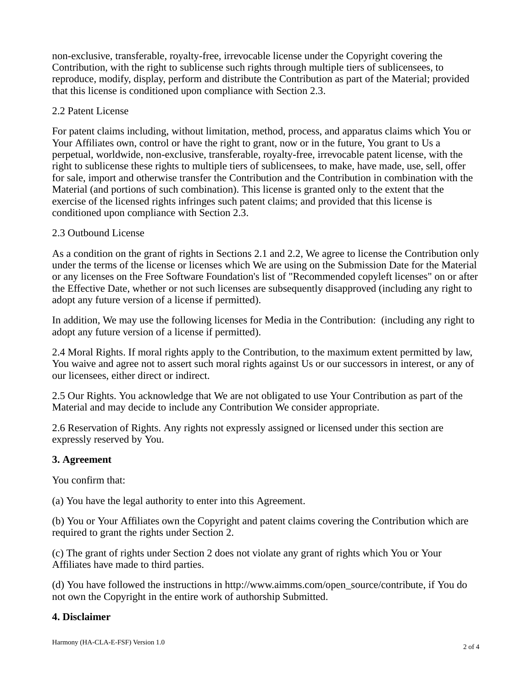non-exclusive, transferable, royalty-free, irrevocable license under the Copyright covering the Contribution, with the right to sublicense such rights through multiple tiers of sublicensees, to reproduce, modify, display, perform and distribute the Contribution as part of the Material; provided that this license is conditioned upon compliance with Section 2.3.

### 2.2 Patent License

For patent claims including, without limitation, method, process, and apparatus claims which You or Your Affiliates own, control or have the right to grant, now or in the future, You grant to Us a perpetual, worldwide, non-exclusive, transferable, royalty-free, irrevocable patent license, with the right to sublicense these rights to multiple tiers of sublicensees, to make, have made, use, sell, offer for sale, import and otherwise transfer the Contribution and the Contribution in combination with the Material (and portions of such combination). This license is granted only to the extent that the exercise of the licensed rights infringes such patent claims; and provided that this license is conditioned upon compliance with Section 2.3.

### 2.3 Outbound License

As a condition on the grant of rights in Sections 2.1 and 2.2, We agree to license the Contribution only under the terms of the license or licenses which We are using on the Submission Date for the Material or any licenses on the Free Software Foundation's list of "Recommended copyleft licenses" on or after the Effective Date, whether or not such licenses are subsequently disapproved (including any right to adopt any future version of a license if permitted).

In addition, We may use the following licenses for Media in the Contribution: (including any right to adopt any future version of a license if permitted).

2.4 Moral Rights. If moral rights apply to the Contribution, to the maximum extent permitted by law, You waive and agree not to assert such moral rights against Us or our successors in interest, or any of our licensees, either direct or indirect.

2.5 Our Rights. You acknowledge that We are not obligated to use Your Contribution as part of the Material and may decide to include any Contribution We consider appropriate.

2.6 Reservation of Rights. Any rights not expressly assigned or licensed under this section are expressly reserved by You.

## **3. Agreement**

You confirm that:

(a) You have the legal authority to enter into this Agreement.

(b) You or Your Affiliates own the Copyright and patent claims covering the Contribution which are required to grant the rights under Section 2.

(c) The grant of rights under Section 2 does not violate any grant of rights which You or Your Affiliates have made to third parties.

(d) You have followed the instructions in http://www.aimms.com/open\_source/contribute, if You do not own the Copyright in the entire work of authorship Submitted.

## **4. Disclaimer**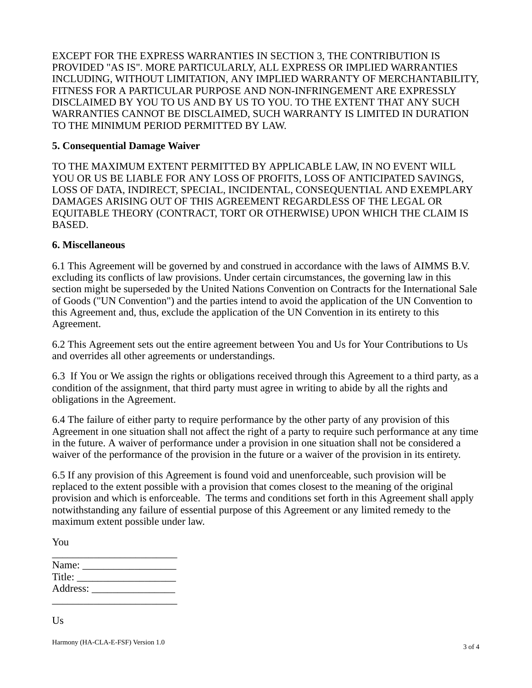EXCEPT FOR THE EXPRESS WARRANTIES IN SECTION 3, THE CONTRIBUTION IS PROVIDED "AS IS". MORE PARTICULARLY, ALL EXPRESS OR IMPLIED WARRANTIES INCLUDING, WITHOUT LIMITATION, ANY IMPLIED WARRANTY OF MERCHANTABILITY, FITNESS FOR A PARTICULAR PURPOSE AND NON-INFRINGEMENT ARE EXPRESSLY DISCLAIMED BY YOU TO US AND BY US TO YOU. TO THE EXTENT THAT ANY SUCH WARRANTIES CANNOT BE DISCLAIMED, SUCH WARRANTY IS LIMITED IN DURATION TO THE MINIMUM PERIOD PERMITTED BY LAW.

#### **5. Consequential Damage Waiver**

TO THE MAXIMUM EXTENT PERMITTED BY APPLICABLE LAW, IN NO EVENT WILL YOU OR US BE LIABLE FOR ANY LOSS OF PROFITS, LOSS OF ANTICIPATED SAVINGS, LOSS OF DATA, INDIRECT, SPECIAL, INCIDENTAL, CONSEQUENTIAL AND EXEMPLARY DAMAGES ARISING OUT OF THIS AGREEMENT REGARDLESS OF THE LEGAL OR EQUITABLE THEORY (CONTRACT, TORT OR OTHERWISE) UPON WHICH THE CLAIM IS BASED.

#### **6. Miscellaneous**

6.1 This Agreement will be governed by and construed in accordance with the laws of AIMMS B.V. excluding its conflicts of law provisions. Under certain circumstances, the governing law in this section might be superseded by the United Nations Convention on Contracts for the International Sale of Goods ("UN Convention") and the parties intend to avoid the application of the UN Convention to this Agreement and, thus, exclude the application of the UN Convention in its entirety to this Agreement.

6.2 This Agreement sets out the entire agreement between You and Us for Your Contributions to Us and overrides all other agreements or understandings.

6.3 If You or We assign the rights or obligations received through this Agreement to a third party, as a condition of the assignment, that third party must agree in writing to abide by all the rights and obligations in the Agreement.

6.4 The failure of either party to require performance by the other party of any provision of this Agreement in one situation shall not affect the right of a party to require such performance at any time in the future. A waiver of performance under a provision in one situation shall not be considered a waiver of the performance of the provision in the future or a waiver of the provision in its entirety.

6.5 If any provision of this Agreement is found void and unenforceable, such provision will be replaced to the extent possible with a provision that comes closest to the meaning of the original provision and which is enforceable. The terms and conditions set forth in this Agreement shall apply notwithstanding any failure of essential purpose of this Agreement or any limited remedy to the maximum extent possible under law.

| Name: $\frac{1}{\sqrt{1-\frac{1}{2}}\cdot\frac{1}{\sqrt{1-\frac{1}{2}}}}$ |  |  |
|---------------------------------------------------------------------------|--|--|
| Title:                                                                    |  |  |
| Address:                                                                  |  |  |